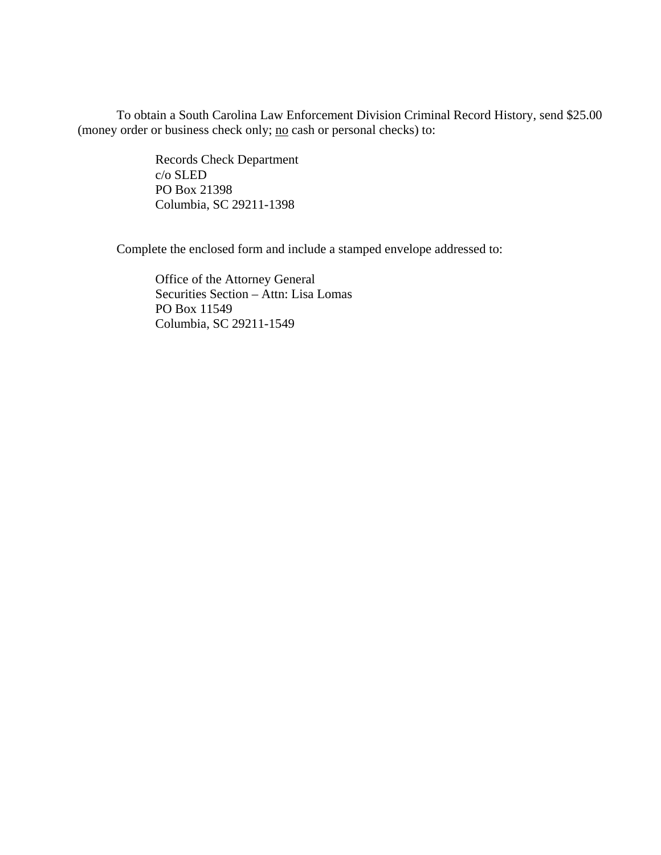To obtain a South Carolina Law Enforcement Division Criminal Record History, send \$25.00 (money order or business check only; <u>no</u> cash or personal checks) to:

> Records Check Department c/o SLED PO Box 21398 Columbia, SC 29211-1398

Complete the enclosed form and include a stamped envelope addressed to:

 Office of the Attorney General Securities Section – Attn: Lisa Lomas PO Box 11549 Columbia, SC 29211-1549